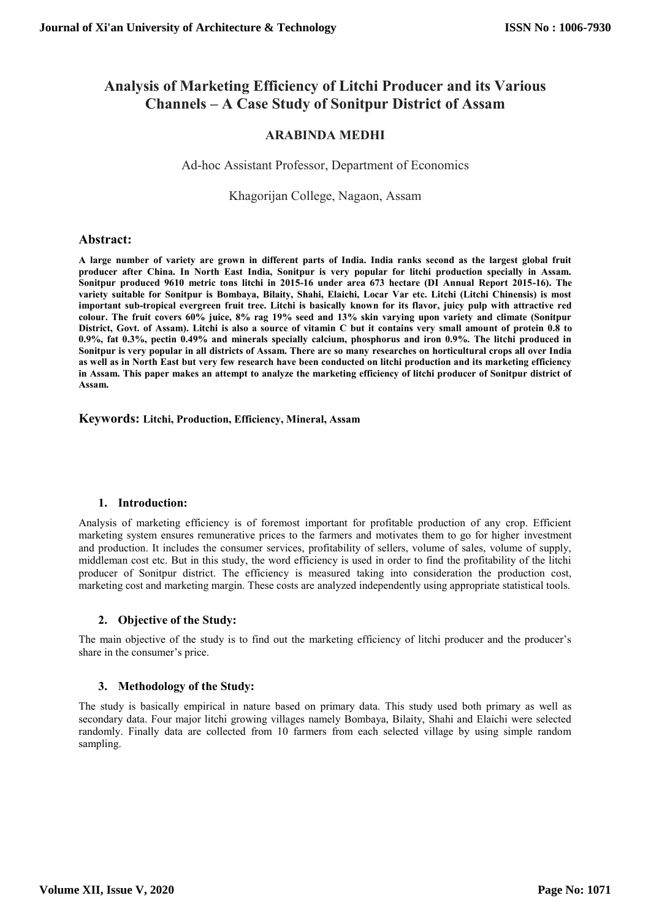# **Analysis of Marketing Efficiency of Litchi Producer and its Various Channels – A Case Study of Sonitpur District of Assam**

## **ARABINDA MEDHI**

## Ad-hoc Assistant Professor, Department of Economics

## Khagorijan College, Nagaon, Assam

### **Abstract:**

**A large number of variety are grown in different parts of India. India ranks second as the largest global fruit producer after China. In North East India, Sonitpur is very popular for litchi production specially in Assam. Sonitpur produced 9610 metric tons litchi in 2015-16 under area 673 hectare (DI Annual Report 2015-16). The variety suitable for Sonitpur is Bombaya, Bilaity, Shahi, Elaichi, Locar Var etc. Litchi (Litchi Chinensis) is most important sub-tropical evergreen fruit tree. Litchi is basically known for its flavor, juicy pulp with attractive red colour. The fruit covers 60% juice, 8% rag 19% seed and 13% skin varying upon variety and climate (Sonitpur District, Govt. of Assam). Litchi is also a source of vitamin C but it contains very small amount of protein 0.8 to 0.9%, fat 0.3%, pectin 0.49% and minerals specially calcium, phosphorus and iron 0.9%. The litchi produced in Sonitpur is very popular in all districts of Assam. There are so many researches on horticultural crops all over India as well as in North East but very few research have been conducted on litchi production and its marketing efficiency in Assam. This paper makes an attempt to analyze the marketing efficiency of litchi producer of Sonitpur district of Assam.**

#### **Keywords: Litchi, Production, Efficiency, Mineral, Assam**

#### **1. Introduction:**

Analysis of marketing efficiency is of foremost important for profitable production of any crop. Efficient marketing system ensures remunerative prices to the farmers and motivates them to go for higher investment and production. It includes the consumer services, profitability of sellers, volume of sales, volume of supply, middleman cost etc. But in this study, the word efficiency is used in order to find the profitability of the litchi producer of Sonitpur district. The efficiency is measured taking into consideration the production cost, marketing cost and marketing margin. These costs are analyzed independently using appropriate statistical tools.

#### **2. Objective of the Study:**

The main objective of the study is to find out the marketing efficiency of litchi producer and the producer's share in the consumer's price.

#### **3. Methodology of the Study:**

The study is basically empirical in nature based on primary data. This study used both primary as well as secondary data. Four major litchi growing villages namely Bombaya, Bilaity, Shahi and Elaichi were selected randomly. Finally data are collected from 10 farmers from each selected village by using simple random sampling.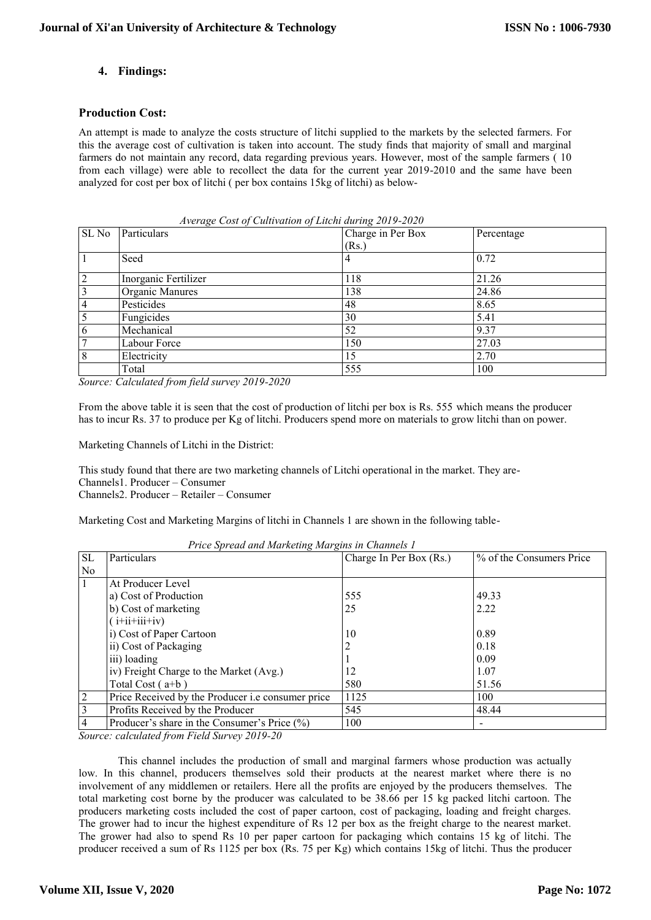## **4. Findings:**

#### **Production Cost:**

An attempt is made to analyze the costs structure of litchi supplied to the markets by the selected farmers. For this the average cost of cultivation is taken into account. The study finds that majority of small and marginal farmers do not maintain any record, data regarding previous years. However, most of the sample farmers ( 10 from each village) were able to recollect the data for the current year 2019-2010 and the same have been analyzed for cost per box of litchi ( per box contains 15kg of litchi) as below-

| SL <sub>No</sub> | Particulars          | Charge in Per Box | Percentage |
|------------------|----------------------|-------------------|------------|
|                  |                      | (Rs.)             |            |
|                  | Seed                 | 4                 | 0.72       |
| $\overline{2}$   | Inorganic Fertilizer | 118               | 21.26      |
| 3                | Organic Manures      | 138               | 24.86      |
| 4                | Pesticides           | 48                | 8.65       |
|                  | Fungicides           | 30                | 5.41       |
| 6                | Mechanical           | 52                | 9.37       |
|                  | Labour Force         | 150               | 27.03      |
| 8                | Electricity          | 15                | 2.70       |
|                  | Total                | 555               | 100        |

 *Average Cost of Cultivation of Litchi during 2019-2020*

*Source: Calculated from field survey 2019-2020*

From the above table it is seen that the cost of production of litchi per box is Rs. 555 which means the producer has to incur Rs. 37 to produce per Kg of litchi. Producers spend more on materials to grow litchi than on power.

Marketing Channels of Litchi in the District:

This study found that there are two marketing channels of Litchi operational in the market. They are-

Channels1. Producer – Consumer

Channels2. Producer – Retailer – Consumer

Marketing Cost and Marketing Margins of litchi in Channels 1 are shown in the following table-

*Price Spread and Marketing Margins in Channels 1*

| <b>SL</b>      | Particulars                                       | Charge In Per Box (Rs.) | % of the Consumers Price |
|----------------|---------------------------------------------------|-------------------------|--------------------------|
| N <sub>0</sub> |                                                   |                         |                          |
|                | At Producer Level                                 |                         |                          |
|                | a) Cost of Production                             | 555                     | 49.33                    |
|                | b) Cost of marketing                              | 25                      | 2.22                     |
|                | $(i+iii+iiv)$                                     |                         |                          |
|                | i) Cost of Paper Cartoon                          | 10                      | 0.89                     |
|                | ii) Cost of Packaging                             |                         | 0.18                     |
|                | iii) loading                                      |                         | 0.09                     |
|                | iv) Freight Charge to the Market (Avg.)           | 12                      | 1.07                     |
|                | Total Cost $(a+b)$                                | 580                     | 51.56                    |
| $\overline{2}$ | Price Received by the Producer i.e consumer price | 1125                    | 100                      |
| 3              | Profits Received by the Producer                  | 545                     | 48.44                    |
|                | Producer's share in the Consumer's Price (%)      | 100                     |                          |

*Source: calculated from Field Survey 2019-20*

This channel includes the production of small and marginal farmers whose production was actually low. In this channel, producers themselves sold their products at the nearest market where there is no involvement of any middlemen or retailers. Here all the profits are enjoyed by the producers themselves. The total marketing cost borne by the producer was calculated to be 38.66 per 15 kg packed litchi cartoon. The producers marketing costs included the cost of paper cartoon, cost of packaging, loading and freight charges. The grower had to incur the highest expenditure of Rs 12 per box as the freight charge to the nearest market. The grower had also to spend Rs 10 per paper cartoon for packaging which contains 15 kg of litchi. The producer received a sum of Rs 1125 per box (Rs. 75 per Kg) which contains 15kg of litchi. Thus the producer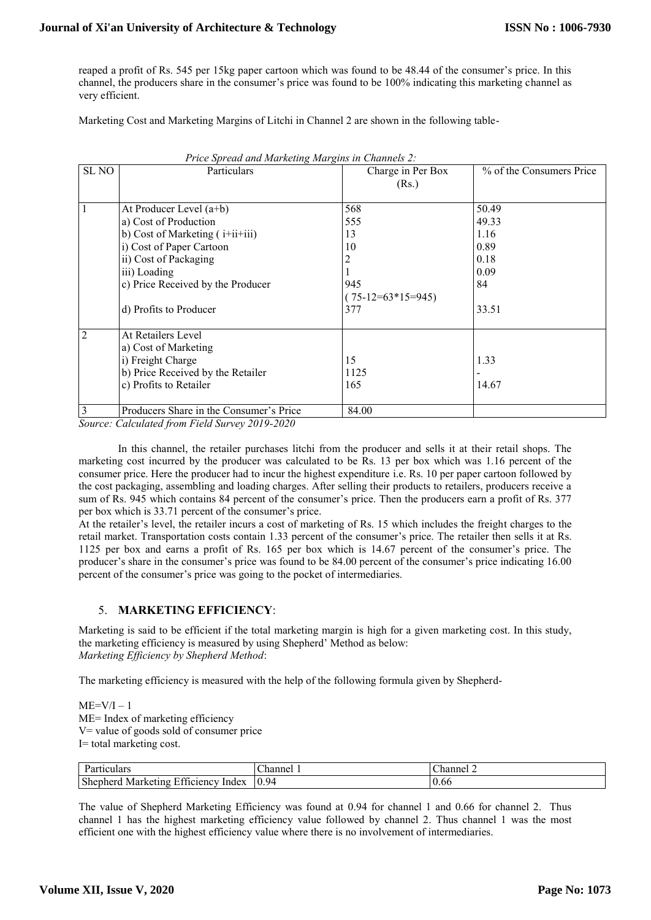reaped a profit of Rs. 545 per 15kg paper cartoon which was found to be 48.44 of the consumer's price. In this channel, the producers share in the consumer's price was found to be 100% indicating this marketing channel as very efficient.

Marketing Cost and Marketing Margins of Litchi in Channel 2 are shown in the following table-

|                  | 1 rice spreud und murkeling murgins in Channels 2. |                     |                          |  |  |
|------------------|----------------------------------------------------|---------------------|--------------------------|--|--|
| SL <sub>NO</sub> | Particulars                                        | Charge in Per Box   | % of the Consumers Price |  |  |
|                  |                                                    | (Rs.)               |                          |  |  |
|                  |                                                    |                     |                          |  |  |
|                  | At Producer Level (a+b)                            | 568                 | 50.49                    |  |  |
|                  | a) Cost of Production                              | 555                 | 49.33                    |  |  |
|                  | b) Cost of Marketing $(i+iii+iii)$                 | 13                  | 1.16                     |  |  |
|                  | i) Cost of Paper Cartoon                           | 10                  | 0.89                     |  |  |
|                  | ii) Cost of Packaging                              | 2                   | 0.18                     |  |  |
|                  | iii) Loading                                       |                     | 0.09                     |  |  |
|                  | c) Price Received by the Producer                  | 945                 | 84                       |  |  |
|                  |                                                    | $(75-12=63*15=945)$ |                          |  |  |
|                  | d) Profits to Producer                             | 377                 | 33.51                    |  |  |
|                  |                                                    |                     |                          |  |  |
| 2                | At Retailers Level                                 |                     |                          |  |  |
|                  | a) Cost of Marketing                               |                     |                          |  |  |
|                  | i) Freight Charge                                  | 15                  | 1.33                     |  |  |
|                  | b) Price Received by the Retailer                  | 1125                |                          |  |  |
|                  | c) Profits to Retailer                             | 165                 | 14.67                    |  |  |
|                  |                                                    |                     |                          |  |  |
| 3                | Producers Share in the Consumer's Price            | 84.00               |                          |  |  |

 *Price Spread and Marketing Margins in Channels 2:*

*Source: Calculated from Field Survey 2019-2020*

In this channel, the retailer purchases litchi from the producer and sells it at their retail shops. The marketing cost incurred by the producer was calculated to be Rs. 13 per box which was 1.16 percent of the consumer price. Here the producer had to incur the highest expenditure i.e. Rs. 10 per paper cartoon followed by the cost packaging, assembling and loading charges. After selling their products to retailers, producers receive a sum of Rs. 945 which contains 84 percent of the consumer's price. Then the producers earn a profit of Rs. 377 per box which is 33.71 percent of the consumer's price.

At the retailer's level, the retailer incurs a cost of marketing of Rs. 15 which includes the freight charges to the retail market. Transportation costs contain 1.33 percent of the consumer's price. The retailer then sells it at Rs. 1125 per box and earns a profit of Rs. 165 per box which is 14.67 percent of the consumer's price. The producer's share in the consumer's price was found to be 84.00 percent of the consumer's price indicating 16.00 percent of the consumer's price was going to the pocket of intermediaries.

## 5. **MARKETING EFFICIENCY**:

Marketing is said to be efficient if the total marketing margin is high for a given marketing cost. In this study, the marketing efficiency is measured by using Shepherd' Method as below: *Marketing Efficiency by Shepherd Method*:

The marketing efficiency is measured with the help of the following formula given by Shepherd-

 $ME=V/I-1$ ME= Index of marketing efficiency V= value of goods sold of consumer price I= total marketing cost.

| ، مع ا<br>$120 +$<br>$-1$<br>uuculal.                                             | ∶hannel | $\overline{\phantom{a}}$<br>honn<br>ב בסונויים |
|-----------------------------------------------------------------------------------|---------|------------------------------------------------|
| $\sim \infty$<br>$\sim$<br>Index<br>Marketing<br>shepher <sup>1</sup><br>ticiency | 0.94    | 0.66                                           |

The value of Shepherd Marketing Efficiency was found at 0.94 for channel 1 and 0.66 for channel 2. Thus channel 1 has the highest marketing efficiency value followed by channel 2. Thus channel 1 was the most efficient one with the highest efficiency value where there is no involvement of intermediaries.